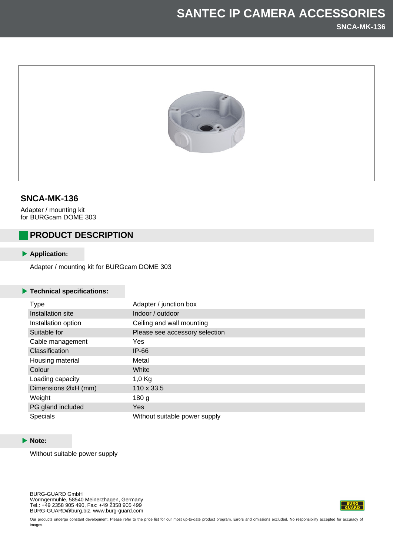

## **SNCA-MK-136**

Adapter / mounting kit for BURGcam DOME 303

# **PRODUCT DESCRIPTION**

### **Application:**

Adapter / mounting kit for BURGcam DOME 303

#### **Technical specifications:**

| <b>Type</b>           | Adapter / junction box         |
|-----------------------|--------------------------------|
| Installation site     | Indoor / outdoor               |
| Installation option   | Ceiling and wall mounting      |
| Suitable for          | Please see accessory selection |
| Cable management      | Yes                            |
| <b>Classification</b> | $IP-66$                        |
| Housing material      | Metal                          |
| Colour                | White                          |
| Loading capacity      | $1,0$ Kg                       |
| Dimensions ØxH (mm)   | 110 x 33,5                     |
| Weight                | 180 <sub>g</sub>               |
| PG gland included     | <b>Yes</b>                     |
| Specials              | Without suitable power supply  |

#### **Note:**

Without suitable power supply

BURG-GUARD GmbH Wormgermühle, 58540 Meinerzhagen, Germany Tel.: +49 2358 905 490, Fax: +49 2358 905 499 BURG-GUARD@burg.biz, www.burg-guard.com



Our products undergo constant development. Please refer to the price list for our most up-to-date product program. Errors and omissions excluded. No responsibility accepted for accuracy of images.